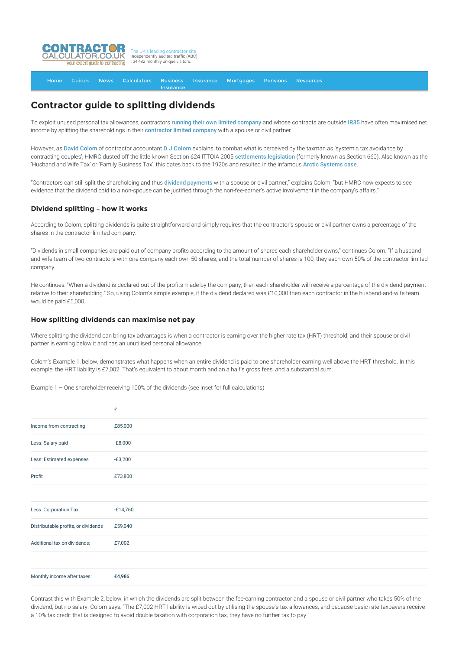

#### [Home](http://www.contractorcalculator.co.uk/) [Guides](http://www.contractorcalculator.co.uk/Articles.aspx) [News](http://www.contractorcalculator.co.uk/Contractor_News.aspx) [Calculators](http://www.contractorcalculator.co.uk/Calculators.aspx) Business **[Insurance](http://www.contractorcalculator.co.uk/Contractor_Insurances.aspx)** [Insurance](http://www.contractorcalculator.co.uk/Insurance.aspx) [Mortgages](http://www.contractorcalculator.co.uk/Contractor_Mortgages.aspx) [Pensions](http://www.contractorcalculator.co.uk/Contractor_Pensions.aspx) [Resources](http://www.contractorcalculator.co.uk/Contractor_Resources.aspx)

# **Contractor guide to splitting dividends**

To exploit unused personal tax allowances, contractors [running their own limited company](http://www.contractorcalculator.co.uk/contractors_run_limited_companies.aspx) and whose contracts are outside [IR35](http://www.contractorcalculator.co.uk/what_is_ir35.aspx) have often maximised net income by splitting the shareholdings in their [contractor limited company](http://www.contractorcalculator.co.uk/Limited_Companies.aspx) with a spouse or civil partner.

However, as [David Colom](http://www.contractorcalculator.co.uk/ec_david_colom.aspx) of contractor accountant [D J Colom](http://www.contractorcalculator.co.uk/refer.aspx?site=www.contractorcalculator.co.uk&from=ARTICLE&frompk=CONTRACTOR_GUIDE_SPLITTING_DIVIDENDS&url=http://www.djcolom.co.uk/) explains, to combat what is perceived by the taxman as 'systemic tax avoidance by contracting couples', HMRC dusted off the little known Section 624 ITTOIA 2005 [settlements legislation](http://www.contractorcalculator.co.uk/settlements_legislation_s624_minimising_risks.aspx) (formerly known as Section 660). Also known as the 'Husband and Wife Tax' or 'Family Business Tax', this dates back to the 1920s and resulted in the infamous [Arctic Systems case](http://www.contractorcalculator.co.uk/house_of_lords_arctic_systems_262210_news.aspx).

"Contractors can still split the shareholding and thus [dividend payments](http://www.contractorcalculator.co.uk/dividends_contracting_explained.aspx) with a spouse or civil partner," explains Colom, "but HMRC now expects to see evidence that the dividend paid to a non-spouse can be justified through the non-fee-earner's active involvement in the company's affairs."

# **Dividend splitting – how it works**

According to Colom, splitting dividends is quite straightforward and simply requires that the contractor's spouse or civil partner owns a percentage of the shares in the contractor limited company.

"Dividends in small companies are paid out of company profits according to the amount of shares each shareholder owns," continues Colom. "If a husband and wife team of two contractors with one company each own 50 shares, and the total number of shares is 100, they each own 50% of the contractor limited company.

He continues: "When a dividend is declared out of the profits made by the company, then each shareholder will receive a percentage of the dividend payment relative to their shareholding." So, using Colom's simple example, if the dividend declared was £10,000 then each contractor in the husband-and-wife team would be paid £5,000.

# **How splitting dividends can maximise net pay**

Where splitting the dividend can bring tax advantages is when a contractor is earning over the higher rate tax (HRT) threshold, and their spouse or civil partner is earning below it and has an unutilised personal allowance.

Colom's Example 1, below, demonstrates what happens when an entire dividend is paid to one shareholder earning well above the HRT threshold. In this example, the HRT liability is £7,002. That's equivalent to about month and an a half's gross fees, and a substantial sum.

Example 1 – One shareholder receiving 100% of the dividends (see inset for full calculations)

|                                     | £          |
|-------------------------------------|------------|
| Income from contracting             | £85,000    |
| Less: Salary paid                   | $-E8,000$  |
| Less: Estimated expenses            | $-£3,200$  |
| Profit                              | £73,800    |
|                                     |            |
| Less: Corporation Tax               | $-£14,760$ |
| Distributable profits, or dividends | £59,040    |
| Additional tax on dividends:        | £7,002     |
|                                     |            |
| Monthly income after taxes:         | £4,986     |

Contrast this with Example 2, below, in which the dividends are split between the fee-earning contractor and a spouse or civil partner who takes 50% of the dividend, but no salary. Colom says: "The £7,002 HRT liability is wiped out by utilising the spouse's tax allowances, and because basic rate taxpayers receive a 10% tax credit that is designed to avoid double taxation with corporation tax, they have no further tax to pay."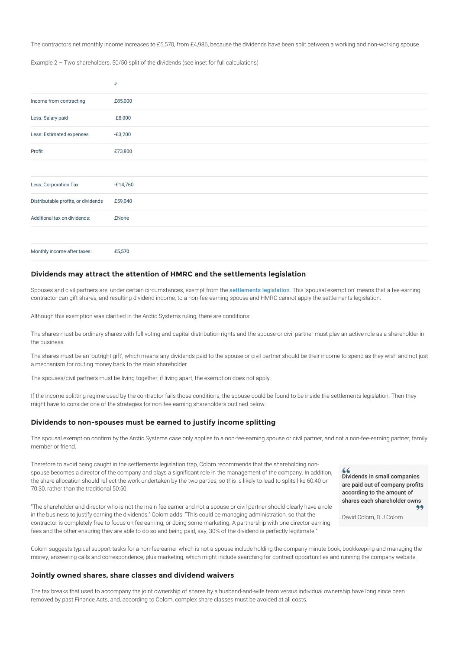The contractors net monthly income increases to £5,570, from £4,986, because the dividends have been split between a working and non-working spouse.

Example 2 – Two shareholders, 50/50 split of the dividends (see inset for full calculations)

|                                     | £            |
|-------------------------------------|--------------|
| Income from contracting             | £85,000      |
| Less: Salary paid                   | $-E8,000$    |
| Less: Estimated expenses            | $-£3,200$    |
| Profit                              | £73,800      |
|                                     |              |
| Less: Corporation Tax               | $-£14,760$   |
| Distributable profits, or dividends | £59,040      |
| Additional tax on dividends:        | <b>£None</b> |
|                                     |              |
| Monthly income after taxes:         | £5,570       |

# **Dividends may attract the attention of HMRC and the settlements legislation**

Spouses and civil partners are, under certain circumstances, exempt from the [settlements legislation](http://www.contractorcalculator.co.uk/settlements_legislation.aspx). This 'spousal exemption' means that a fee-earning contractor can gift shares, and resulting dividend income, to a non-fee-earning spouse and HMRC cannot apply the settlements legislation.

Although this exemption was clarified in the Arctic Systems ruling, there are conditions:

The shares must be ordinary shares with full voting and capital distribution rights and the spouse or civil partner must play an active role as a shareholder in the business

The shares must be an 'outright gift', which means any dividends paid to the spouse or civil partner should be their income to spend as they wish and not just a mechanism for routing money back to the main shareholder

The spouses/civil partners must be living together; if living apart, the exemption does not apply.

If the income splitting regime used by the contractor fails those conditions, the spouse could be found to be inside the settlements legislation. Then they might have to consider one of the strategies for non-fee-earning shareholders outlined below.

### **Dividends to non-spouses must be earned to justify income splitting**

The spousal exemption confirm by the Arctic Systems case only applies to a non-fee-earning spouse or civil partner, and not a non-fee-earning partner, family member or friend.

Therefore to avoid being caught in the settlements legislation trap, Colom recommends that the shareholding nonspouse becomes a director of the company and plays a significant role in the management of the company. In addition, the share allocation should reflect the work undertaken by the two parties; so this is likely to lead to splits like 60:40 or 70:30, rather than the traditional 50:50.

"The shareholder and director who is not the main fee earner and not a spouse or civil partner should clearly have a role in the business to justify earning the dividends," Colom adds. "This could be managing administration, so that the contractor is completely free to focus on fee earning, or doing some marketing. A partnership with one director earning fees and the other ensuring they are able to do so and being paid, say, 30% of the dividend is perfectly legitimate."

Dividends in small companies are paid out of company profits according to the amount of shares each shareholder owns

David Colom, D J Colom

Colom suggests typical support tasks for a non-fee-earner which is not a spouse include holding the company minute book, bookkeeping and managing the money, answering calls and correspondence, plus marketing, which might include searching for contract opportunities and running the company website.

#### **Jointly owned shares, share classes and dividend waivers**

The tax breaks that used to accompany the joint ownership of shares by a husband-and-wife team versus individual ownership have long since been removed by past Finance Acts, and, according to Colom, complex share classes must be avoided at all costs.